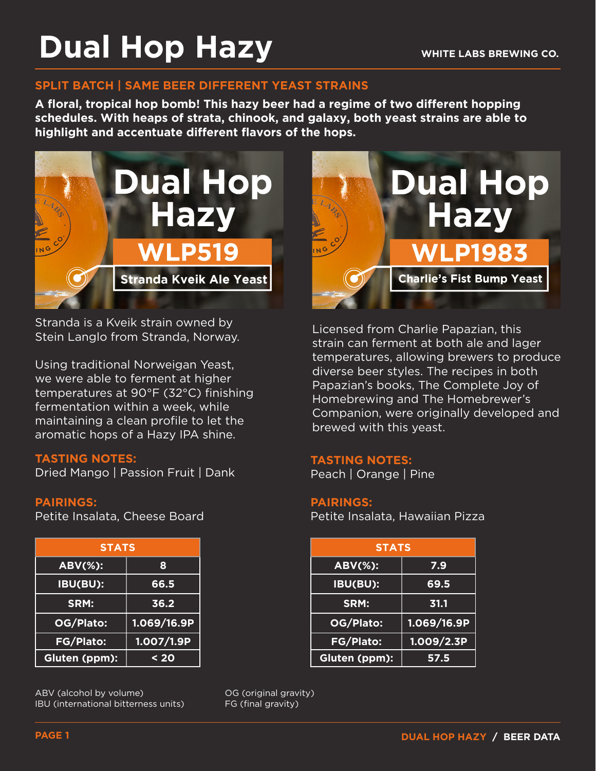## **Dual Hop Hazy**

#### **SPLIT BATCH | SAME BEER DIFFERENT YEAST STRAINS**

**A floral, tropical hop bomb! This hazy beer had a regime of two different hopping schedules. With heaps of strata, chinook, and galaxy, both yeast strains are able to highlight and accentuate different flavors of the hops.**



Stranda is a Kveik strain owned by Stein Langlo from Stranda, Norway.

Using traditional Norweigan Yeast, we were able to ferment at higher temperatures at 90°F (32°C) finishing fermentation within a week, while maintaining a clean profile to let the aromatic hops of a Hazy IPA shine.

#### **TASTING NOTES:**

Dried Mango | Passion Fruit | Dank

#### **PAIRINGS:**

Petite Insalata, Cheese Board

| <b>STATS</b>        |             |
|---------------------|-------------|
| <b>ABV(%):</b><br>8 |             |
| IBU(BU):            | 66.5        |
| SRM:                | 36.2        |
| OG/Plato:           | 1.069/16.9P |
| <b>FG/Plato:</b>    | 1.007/1.9P  |
| Gluten (ppm):       | $20$        |

ABV (alcohol by volume) IBU (international bitterness units)



Licensed from Charlie Papazian, this strain can ferment at both ale and lager temperatures, allowing brewers to produce diverse beer styles. The recipes in both Papazian's books, The Complete Joy of Homebrewing and The Homebrewer's Companion, were originally developed and brewed with this yeast.

#### **TASTING NOTES:**

Peach | Orange | Pine

#### **PAIRINGS:**

Petite Insalata, Hawaiian Pizza

| <b>STATS</b>     |              |  |  |  |  |
|------------------|--------------|--|--|--|--|
| <b>ABV(%):</b>   | 7.9          |  |  |  |  |
| IBU(BU):         | 69.5         |  |  |  |  |
| SRM:             | 31.1         |  |  |  |  |
| OG/Plato:        | 1.069/16.9P  |  |  |  |  |
| <b>FG/Plato:</b> | 1.009 / 2.3P |  |  |  |  |
| Gluten (ppm):    | 57.5         |  |  |  |  |

OG (original gravity) FG (final gravity)